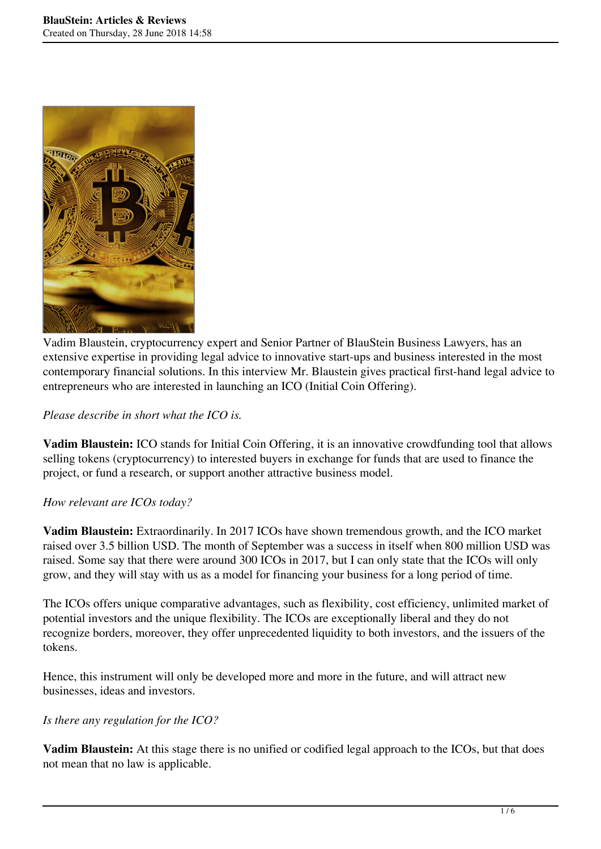

Vadim Blaustein, cryptocurrency expert and Senior Partner of BlauStein Business Lawyers, has an extensive expertise in providing legal advice to innovative start-ups and business interested in the most contemporary financial solutions. In this interview Mr. Blaustein gives practical first-hand legal advice to entrepreneurs who are interested in launching an ICO (Initial Coin Offering).

#### *Please describe in short what the ICO is.*

**Vadim Blaustein:** ICO stands for Initial Coin Offering, it is an innovative crowdfunding tool that allows selling tokens (cryptocurrency) to interested buyers in exchange for funds that are used to finance the project, or fund a research, or support another attractive business model.

#### *How relevant are ICOs today?*

**Vadim Blaustein:** Extraordinarily. In 2017 ICOs have shown tremendous growth, and the ICO market raised over 3.5 billion USD. The month of September was a success in itself when 800 million USD was raised. Some say that there were around 300 ICOs in 2017, but I can only state that the ICOs will only grow, and they will stay with us as a model for financing your business for a long period of time.

The ICOs offers unique comparative advantages, such as flexibility, cost efficiency, unlimited market of potential investors and the unique flexibility. The ICOs are exceptionally liberal and they do not recognize borders, moreover, they offer unprecedented liquidity to both investors, and the issuers of the tokens.

Hence, this instrument will only be developed more and more in the future, and will attract new businesses, ideas and investors.

#### *Is there any regulation for the ICO?*

**Vadim Blaustein:** At this stage there is no unified or codified legal approach to the ICOs, but that does not mean that no law is applicable.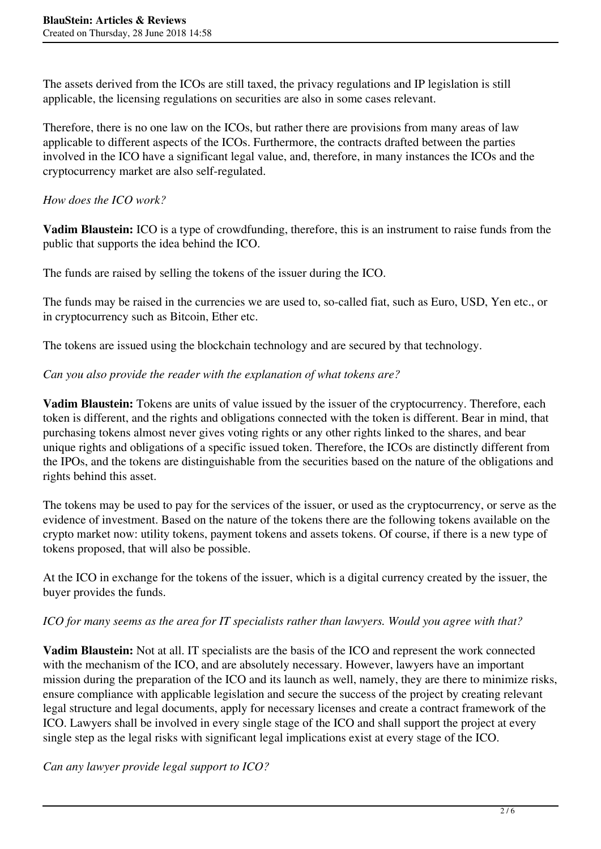The assets derived from the ICOs are still taxed, the privacy regulations and IP legislation is still applicable, the licensing regulations on securities are also in some cases relevant.

Therefore, there is no one law on the ICOs, but rather there are provisions from many areas of law applicable to different aspects of the ICOs. Furthermore, the contracts drafted between the parties involved in the ICO have a significant legal value, and, therefore, in many instances the ICOs and the cryptocurrency market are also self-regulated.

## *How does the ICO work?*

**Vadim Blaustein:** ICO is a type of crowdfunding, therefore, this is an instrument to raise funds from the public that supports the idea behind the ICO.

The funds are raised by selling the tokens of the issuer during the ICO.

The funds may be raised in the currencies we are used to, so-called fiat, such as Euro, USD, Yen etc., or in cryptocurrency such as Bitcoin, Ether etc.

The tokens are issued using the blockchain technology and are secured by that technology.

### *Can you also provide the reader with the explanation of what tokens are?*

**Vadim Blaustein:** Tokens are units of value issued by the issuer of the cryptocurrency. Therefore, each token is different, and the rights and obligations connected with the token is different. Bear in mind, that purchasing tokens almost never gives voting rights or any other rights linked to the shares, and bear unique rights and obligations of a specific issued token. Therefore, the ICOs are distinctly different from the IPOs, and the tokens are distinguishable from the securities based on the nature of the obligations and rights behind this asset.

The tokens may be used to pay for the services of the issuer, or used as the cryptocurrency, or serve as the evidence of investment. Based on the nature of the tokens there are the following tokens available on the crypto market now: utility tokens, payment tokens and assets tokens. Of course, if there is a new type of tokens proposed, that will also be possible.

At the ICO in exchange for the tokens of the issuer, which is a digital currency created by the issuer, the buyer provides the funds.

# *ICO for many seems as the area for IT specialists rather than lawyers. Would you agree with that?*

**Vadim Blaustein:** Not at all. IT specialists are the basis of the ICO and represent the work connected with the mechanism of the ICO, and are absolutely necessary. However, lawyers have an important mission during the preparation of the ICO and its launch as well, namely, they are there to minimize risks, ensure compliance with applicable legislation and secure the success of the project by creating relevant legal structure and legal documents, apply for necessary licenses and create a contract framework of the ICO. Lawyers shall be involved in every single stage of the ICO and shall support the project at every single step as the legal risks with significant legal implications exist at every stage of the ICO.

*Can any lawyer provide legal support to ICO?*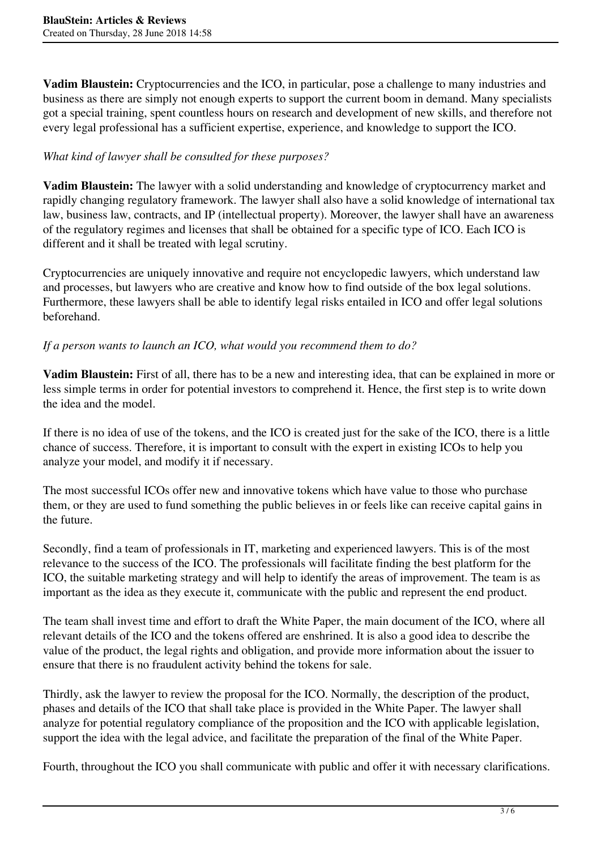**Vadim Blaustein:** Cryptocurrencies and the ICO, in particular, pose a challenge to many industries and business as there are simply not enough experts to support the current boom in demand. Many specialists got a special training, spent countless hours on research and development of new skills, and therefore not every legal professional has a sufficient expertise, experience, and knowledge to support the ICO.

# *What kind of lawyer shall be consulted for these purposes?*

**Vadim Blaustein:** The lawyer with a solid understanding and knowledge of cryptocurrency market and rapidly changing regulatory framework. The lawyer shall also have a solid knowledge of international tax law, business law, contracts, and IP (intellectual property). Moreover, the lawyer shall have an awareness of the regulatory regimes and licenses that shall be obtained for a specific type of ICO. Each ICO is different and it shall be treated with legal scrutiny.

Cryptocurrencies are uniquely innovative and require not encyclopedic lawyers, which understand law and processes, but lawyers who are creative and know how to find outside of the box legal solutions. Furthermore, these lawyers shall be able to identify legal risks entailed in ICO and offer legal solutions beforehand.

# *If a person wants to launch an ICO, what would you recommend them to do?*

**Vadim Blaustein:** First of all, there has to be a new and interesting idea, that can be explained in more or less simple terms in order for potential investors to comprehend it. Hence, the first step is to write down the idea and the model.

If there is no idea of use of the tokens, and the ICO is created just for the sake of the ICO, there is a little chance of success. Therefore, it is important to consult with the expert in existing ICOs to help you analyze your model, and modify it if necessary.

The most successful ICOs offer new and innovative tokens which have value to those who purchase them, or they are used to fund something the public believes in or feels like can receive capital gains in the future.

Secondly, find a team of professionals in IT, marketing and experienced lawyers. This is of the most relevance to the success of the ICO. The professionals will facilitate finding the best platform for the ICO, the suitable marketing strategy and will help to identify the areas of improvement. The team is as important as the idea as they execute it, communicate with the public and represent the end product.

The team shall invest time and effort to draft the White Paper, the main document of the ICO, where all relevant details of the ICO and the tokens offered are enshrined. It is also a good idea to describe the value of the product, the legal rights and obligation, and provide more information about the issuer to ensure that there is no fraudulent activity behind the tokens for sale.

Thirdly, ask the lawyer to review the proposal for the ICO. Normally, the description of the product, phases and details of the ICO that shall take place is provided in the White Paper. The lawyer shall analyze for potential regulatory compliance of the proposition and the ICO with applicable legislation, support the idea with the legal advice, and facilitate the preparation of the final of the White Paper.

Fourth, throughout the ICO you shall communicate with public and offer it with necessary clarifications.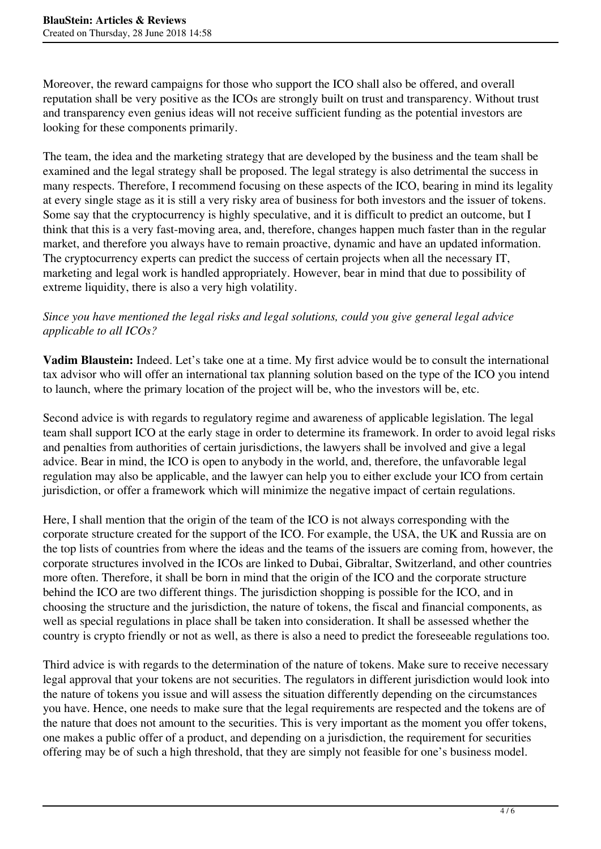Moreover, the reward campaigns for those who support the ICO shall also be offered, and overall reputation shall be very positive as the ICOs are strongly built on trust and transparency. Without trust and transparency even genius ideas will not receive sufficient funding as the potential investors are looking for these components primarily.

The team, the idea and the marketing strategy that are developed by the business and the team shall be examined and the legal strategy shall be proposed. The legal strategy is also detrimental the success in many respects. Therefore, I recommend focusing on these aspects of the ICO, bearing in mind its legality at every single stage as it is still a very risky area of business for both investors and the issuer of tokens. Some say that the cryptocurrency is highly speculative, and it is difficult to predict an outcome, but I think that this is a very fast-moving area, and, therefore, changes happen much faster than in the regular market, and therefore you always have to remain proactive, dynamic and have an updated information. The cryptocurrency experts can predict the success of certain projects when all the necessary IT, marketing and legal work is handled appropriately. However, bear in mind that due to possibility of extreme liquidity, there is also a very high volatility.

## *Since you have mentioned the legal risks and legal solutions, could you give general legal advice applicable to all ICOs?*

**Vadim Blaustein:** Indeed. Let's take one at a time. My first advice would be to consult the international tax advisor who will offer an international tax planning solution based on the type of the ICO you intend to launch, where the primary location of the project will be, who the investors will be, etc.

Second advice is with regards to regulatory regime and awareness of applicable legislation. The legal team shall support ICO at the early stage in order to determine its framework. In order to avoid legal risks and penalties from authorities of certain jurisdictions, the lawyers shall be involved and give a legal advice. Bear in mind, the ICO is open to anybody in the world, and, therefore, the unfavorable legal regulation may also be applicable, and the lawyer can help you to either exclude your ICO from certain jurisdiction, or offer a framework which will minimize the negative impact of certain regulations.

Here, I shall mention that the origin of the team of the ICO is not always corresponding with the corporate structure created for the support of the ICO. For example, the USA, the UK and Russia are on the top lists of countries from where the ideas and the teams of the issuers are coming from, however, the corporate structures involved in the ICOs are linked to Dubai, Gibraltar, Switzerland, and other countries more often. Therefore, it shall be born in mind that the origin of the ICO and the corporate structure behind the ICO are two different things. The jurisdiction shopping is possible for the ICO, and in choosing the structure and the jurisdiction, the nature of tokens, the fiscal and financial components, as well as special regulations in place shall be taken into consideration. It shall be assessed whether the country is crypto friendly or not as well, as there is also a need to predict the foreseeable regulations too.

Third advice is with regards to the determination of the nature of tokens. Make sure to receive necessary legal approval that your tokens are not securities. The regulators in different jurisdiction would look into the nature of tokens you issue and will assess the situation differently depending on the circumstances you have. Hence, one needs to make sure that the legal requirements are respected and the tokens are of the nature that does not amount to the securities. This is very important as the moment you offer tokens, one makes a public offer of a product, and depending on a jurisdiction, the requirement for securities offering may be of such a high threshold, that they are simply not feasible for one's business model.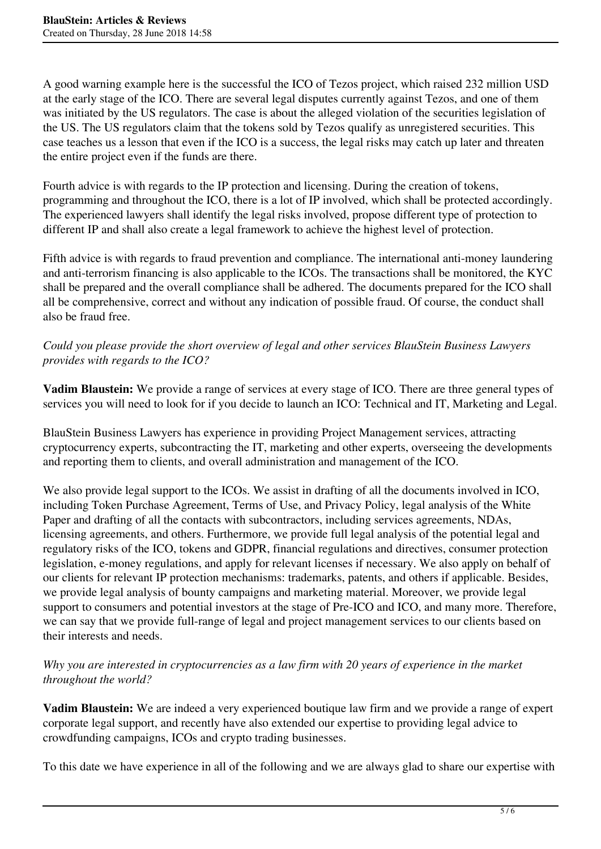A good warning example here is the successful the ICO of Tezos project, which raised 232 million USD at the early stage of the ICO. There are several legal disputes currently against Tezos, and one of them was initiated by the US regulators. The case is about the alleged violation of the securities legislation of the US. The US regulators claim that the tokens sold by Tezos qualify as unregistered securities. This case teaches us a lesson that even if the ICO is a success, the legal risks may catch up later and threaten the entire project even if the funds are there.

Fourth advice is with regards to the IP protection and licensing. During the creation of tokens, programming and throughout the ICO, there is a lot of IP involved, which shall be protected accordingly. The experienced lawyers shall identify the legal risks involved, propose different type of protection to different IP and shall also create a legal framework to achieve the highest level of protection.

Fifth advice is with regards to fraud prevention and compliance. The international anti-money laundering and anti-terrorism financing is also applicable to the ICOs. The transactions shall be monitored, the KYC shall be prepared and the overall compliance shall be adhered. The documents prepared for the ICO shall all be comprehensive, correct and without any indication of possible fraud. Of course, the conduct shall also be fraud free.

# *Could you please provide the short overview of legal and other services BlauStein Business Lawyers provides with regards to the ICO?*

**Vadim Blaustein:** We provide a range of services at every stage of ICO. There are three general types of services you will need to look for if you decide to launch an ICO: Technical and IT, Marketing and Legal.

BlauStein Business Lawyers has experience in providing Project Management services, attracting cryptocurrency experts, subcontracting the IT, marketing and other experts, overseeing the developments and reporting them to clients, and overall administration and management of the ICO.

We also provide legal support to the ICOs. We assist in drafting of all the documents involved in ICO, including Token Purchase Agreement, Terms of Use, and Privacy Policy, legal analysis of the White Paper and drafting of all the contacts with subcontractors, including services agreements, NDAs, licensing agreements, and others. Furthermore, we provide full legal analysis of the potential legal and regulatory risks of the ICO, tokens and GDPR, financial regulations and directives, consumer protection legislation, e-money regulations, and apply for relevant licenses if necessary. We also apply on behalf of our clients for relevant IP protection mechanisms: trademarks, patents, and others if applicable. Besides, we provide legal analysis of bounty campaigns and marketing material. Moreover, we provide legal support to consumers and potential investors at the stage of Pre-ICO and ICO, and many more. Therefore, we can say that we provide full-range of legal and project management services to our clients based on their interests and needs.

### *Why you are interested in cryptocurrencies as a law firm with 20 years of experience in the market throughout the world?*

**Vadim Blaustein:** We are indeed a very experienced boutique law firm and we provide a range of expert corporate legal support, and recently have also extended our expertise to providing legal advice to crowdfunding campaigns, ICOs and crypto trading businesses.

To this date we have experience in all of the following and we are always glad to share our expertise with